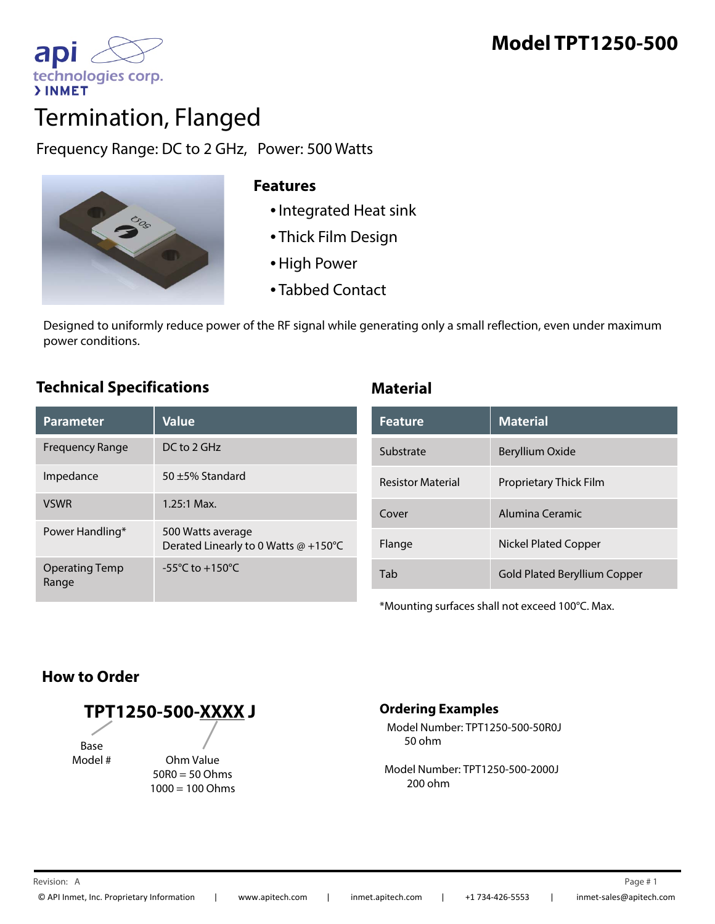

# Termination, Flanged

Frequency Range: DC to 2 GHz, Power: 500 Watts



#### **Features**

- •Integrated Heat sink
- Thick Film Design
- •High Power
- Tabbed Contact

Designed to uniformly reduce power of the RF signal while generating only a small reflection, even under maximum power conditions. p

### **Technical Specifications Material**

| Parameter                      | <b>Value</b>                                              | <b>Feature</b>           | <b>Material</b>                     |
|--------------------------------|-----------------------------------------------------------|--------------------------|-------------------------------------|
| <b>Frequency Range</b>         | $DC$ to $2$ GHz                                           | Substrate                | Beryllium Oxide                     |
| Impedance                      | 50 $\pm$ 5% Standard                                      | <b>Resistor Material</b> | Proprietary Thick Film              |
| <b>VSWR</b>                    | $1.25:1$ Max.                                             | Cover                    | Alumina Ceramic                     |
| Power Handling*                | 500 Watts average<br>Derated Linearly to 0 Watts @ +150°C | Flange                   | Nickel Plated Copper                |
| <b>Operating Temp</b><br>Range | $-55^{\circ}$ C to $+150^{\circ}$ C                       | Tab                      | <b>Gold Plated Beryllium Copper</b> |

| <b>Feature</b>           | <b>Material</b>               |  |
|--------------------------|-------------------------------|--|
| Substrate                | Beryllium Oxide               |  |
| <b>Resistor Material</b> | <b>Proprietary Thick Film</b> |  |
| Cover                    | Alumina Ceramic               |  |
| Flange                   | <b>Nickel Plated Copper</b>   |  |
| Tab                      | Gold Plated Beryllium Copper  |  |

\*Mounting surfaces shall not exceed 100°C. Max.

## **How to Order**

**TPT1250-500-XXXX J** Base<br># Model Ohm Value 50R0 = 50 Ohms

 $1000 = 100$  Ohms

#### **Ordering Examples**

Model Number: TPT1250-500-50R0J 50 ohm

Model Number: TPT1250-500-2000J 200 ohm